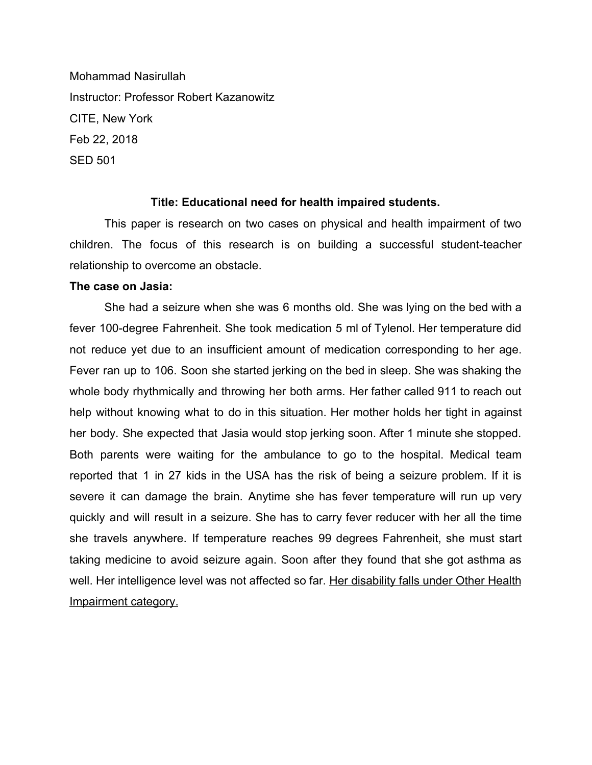Mohammad Nasirullah Instructor: Professor Robert Kazanowitz CITE, New York Feb 22, 2018 SED 501

## **Title: Educational need for health impaired students.**

This paper is research on two cases on physical and health impairment of two children. The focus of this research is on building a successful student-teacher relationship to overcome an obstacle.

## **The case on Jasia:**

She had a seizure when she was 6 months old. She was lying on the bed with a fever 100-degree Fahrenheit. She took medication 5 ml of Tylenol. Her temperature did not reduce yet due to an insufficient amount of medication corresponding to her age. Fever ran up to 106. Soon she started jerking on the bed in sleep. She was shaking the whole body rhythmically and throwing her both arms. Her father called 911 to reach out help without knowing what to do in this situation. Her mother holds her tight in against her body. She expected that Jasia would stop jerking soon. After 1 minute she stopped. Both parents were waiting for the ambulance to go to the hospital. Medical team reported that 1 in 27 kids in the USA has the risk of being a seizure problem. If it is severe it can damage the brain. Anytime she has fever temperature will run up very quickly and will result in a seizure. She has to carry fever reducer with her all the time she travels anywhere. If temperature reaches 99 degrees Fahrenheit, she must start taking medicine to avoid seizure again. Soon after they found that she got asthma as well. Her intelligence level was not affected so far. Her disability falls under Other Health Impairment category.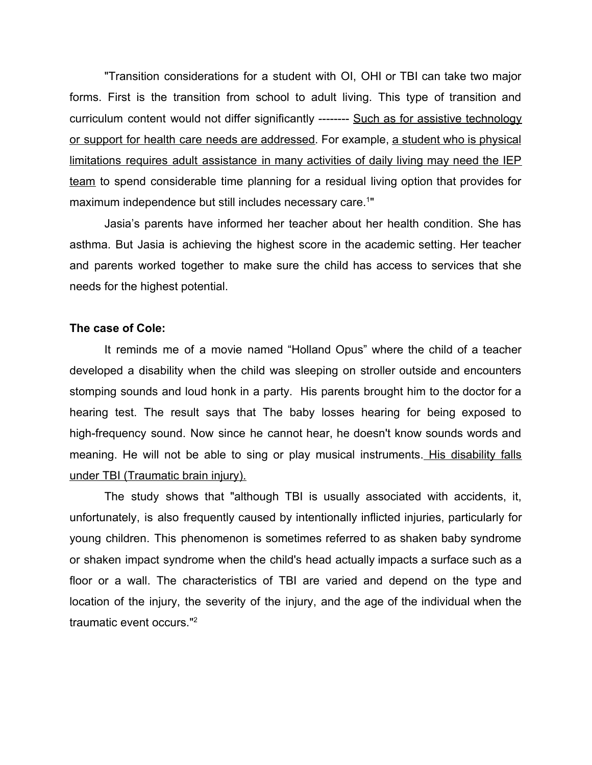"Transition considerations for a student with OI, OHI or TBI can take two major forms. First is the transition from school to adult living. This type of transition and curriculum content would not differ significantly -------- Such as for assistive technology or support for health care needs are addressed. For example, a student who is physical limitations requires adult assistance in many activities of daily living may need the IEP team to spend considerable time planning for a residual living option that provides for maximum independence but still includes necessary care.<sup>1"</sup>

Jasia's parents have informed her teacher about her health condition. She has asthma. But Jasia is achieving the highest score in the academic setting. Her teacher and parents worked together to make sure the child has access to services that she needs for the highest potential.

## **The case of Cole:**

It reminds me of a movie named "Holland Opus" where the child of a teacher developed a disability when the child was sleeping on stroller outside and encounters stomping sounds and loud honk in a party. His parents brought him to the doctor for a hearing test. The result says that The baby losses hearing for being exposed to high-frequency sound. Now since he cannot hear, he doesn't know sounds words and meaning. He will not be able to sing or play musical instruments. His disability falls under TBI (Traumatic brain injury).

The study shows that "although TBI is usually associated with accidents, it, unfortunately, is also frequently caused by intentionally inflicted injuries, particularly for young children. This phenomenon is sometimes referred to as shaken baby syndrome or shaken impact syndrome when the child's head actually impacts a surface such as a floor or a wall. The characteristics of TBI are varied and depend on the type and location of the injury, the severity of the injury, and the age of the individual when the traumatic event occurs."2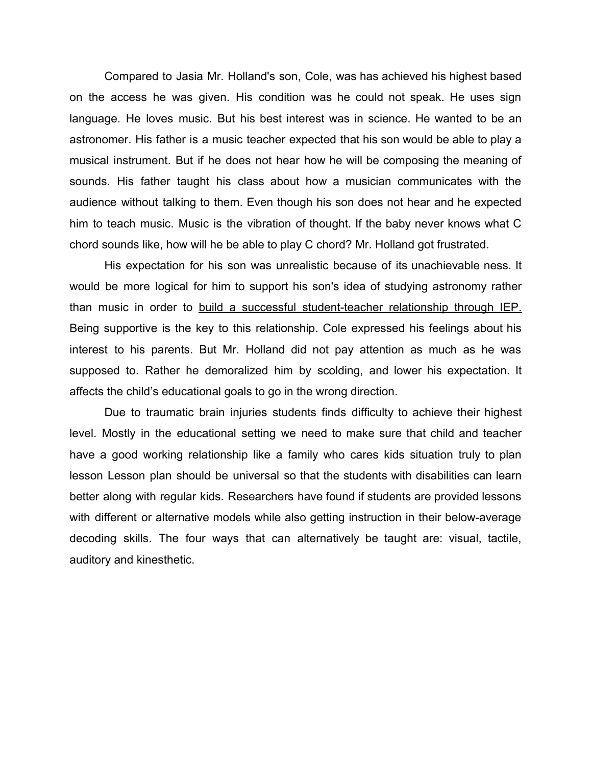Compared to Jasia Mr. Holland's son, Cole, was has achieved his highest based on the access he was given. His condition was he could not speak. He uses sign language. He loves music. But his best interest was in science. He wanted to be an astronomer. His father is a music teacher expected that his son would be able to play a musical instrument. But if he does not hear how he will be composing the meaning of sounds. His father taught his class about how a musician communicates with the audience without talking to them. Even though his son does not hear and he expected him to teach music. Music is the vibration of thought. If the baby never knows what C chord sounds like, how will he be able to play C chord? Mr. Holland got frustrated.

His expectation for his son was unrealistic because of its unachievable ness. It would be more logical for him to support his son's idea of studying astronomy rather than music in order to build a successful student-teacher relationship through IEP. Being supportive is the key to this relationship. Cole expressed his feelings about his interest to his parents. But Mr. Holland did not pay attention as much as he was supposed to. Rather he demoralized him by scolding, and lower his expectation. It affects the child's educational goals to go in the wrong direction.

Due to traumatic brain injuries students finds difficulty to achieve their highest level. Mostly in the educational setting we need to make sure that child and teacher have a good working relationship like a family who cares kids situation truly to plan lesson Lesson plan should be universal so that the students with disabilities can learn better along with regular kids. Researchers have found if students are provided lessons with different or alternative models while also getting instruction in their below-average decoding skills. The four ways that can alternatively be taught are: visual, tactile, auditory and kinesthetic.